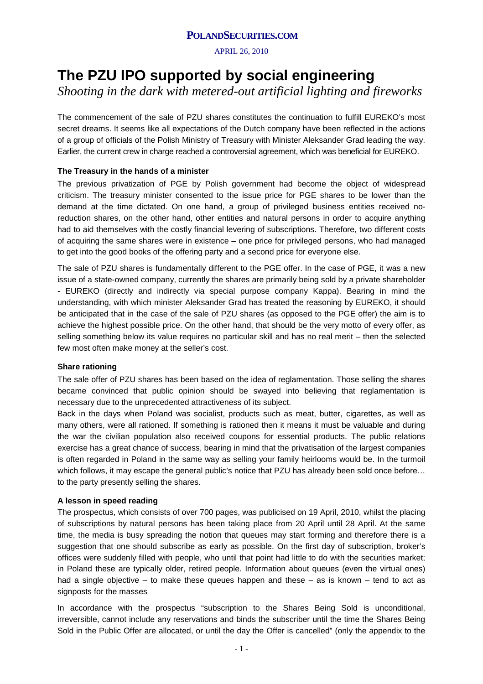# **The PZU IPO supported by social engineering**

*Shooting in the dark with metered-out artificial lighting and fireworks*

The commencement of the sale of PZU shares constitutes the continuation to fulfill EUREKO's most secret dreams. It seems like all expectations of the Dutch company have been reflected in the actions of a group of officials of the Polish Ministry of Treasury with Minister Aleksander Grad leading the way. Earlier, the current crew in charge reached a controversial agreement, which was beneficial for EUREKO.

# **The Treasury in the hands of a minister**

The previous privatization of PGE by Polish government had become the object of widespread criticism. The treasury minister consented to the issue price for PGE shares to be lower than the demand at the time dictated. On one hand, a group of privileged business entities received noreduction shares, on the other hand, other entities and natural persons in order to acquire anything had to aid themselves with the costly financial levering of subscriptions. Therefore, two different costs of acquiring the same shares were in existence – one price for privileged persons, who had managed to get into the good books of the offering party and a second price for everyone else.

The sale of PZU shares is fundamentally different to the PGE offer. In the case of PGE, it was a new issue of a state-owned company, currently the shares are primarily being sold by a private shareholder - EUREKO (directly and indirectly via special purpose company Kappa). Bearing in mind the understanding, with which minister Aleksander Grad has treated the reasoning by EUREKO, it should be anticipated that in the case of the sale of PZU shares (as opposed to the PGE offer) the aim is to achieve the highest possible price. On the other hand, that should be the very motto of every offer, as selling something below its value requires no particular skill and has no real merit – then the selected few most often make money at the seller's cost.

# **Share rationing**

The sale offer of PZU shares has been based on the idea of reglamentation. Those selling the shares became convinced that public opinion should be swayed into believing that reglamentation is necessary due to the unprecedented attractiveness of its subject.

Back in the days when Poland was socialist, products such as meat, butter, cigarettes, as well as many others, were all rationed. If something is rationed then it means it must be valuable and during the war the civilian population also received coupons for essential products. The public relations exercise has a great chance of success, bearing in mind that the privatisation of the largest companies is often regarded in Poland in the same way as selling your family heirlooms would be. In the turmoil which follows, it may escape the general public's notice that PZU has already been sold once before... to the party presently selling the shares.

# **A lesson in speed reading**

The prospectus, which consists of over 700 pages, was publicised on 19 April, 2010, whilst the placing of subscriptions by natural persons has been taking place from 20 April until 28 April. At the same time, the media is busy spreading the notion that queues may start forming and therefore there is a suggestion that one should subscribe as early as possible. On the first day of subscription, broker's offices were suddenly filled with people, who until that point had little to do with the securities market; in Poland these are typically older, retired people. Information about queues (even the virtual ones) had a single objective – to make these queues happen and these – as is known – tend to act as signposts for the masses

In accordance with the prospectus "subscription to the Shares Being Sold is unconditional, irreversible, cannot include any reservations and binds the subscriber until the time the Shares Being Sold in the Public Offer are allocated, or until the day the Offer is cancelled" (only the appendix to the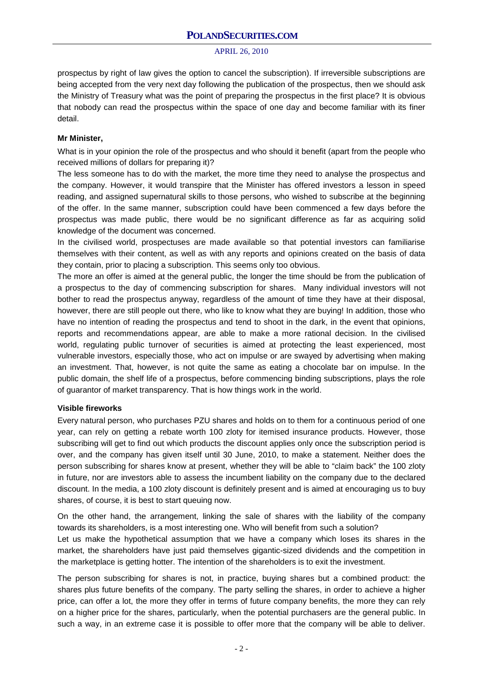prospectus by right of law gives the option to cancel the subscription). If irreversible subscriptions are being accepted from the very next day following the publication of the prospectus, then we should ask the Ministry of Treasury what was the point of preparing the prospectus in the first place? It is obvious that nobody can read the prospectus within the space of one day and become familiar with its finer detail.

#### **Mr Minister,**

What is in your opinion the role of the prospectus and who should it benefit (apart from the people who received millions of dollars for preparing it)?

The less someone has to do with the market, the more time they need to analyse the prospectus and the company. However, it would transpire that the Minister has offered investors a lesson in speed reading, and assigned supernatural skills to those persons, who wished to subscribe at the beginning of the offer. In the same manner, subscription could have been commenced a few days before the prospectus was made public, there would be no significant difference as far as acquiring solid knowledge of the document was concerned.

In the civilised world, prospectuses are made available so that potential investors can familiarise themselves with their content, as well as with any reports and opinions created on the basis of data they contain, prior to placing a subscription. This seems only too obvious.

The more an offer is aimed at the general public, the longer the time should be from the publication of a prospectus to the day of commencing subscription for shares. Many individual investors will not bother to read the prospectus anyway, regardless of the amount of time they have at their disposal, however, there are still people out there, who like to know what they are buying! In addition, those who have no intention of reading the prospectus and tend to shoot in the dark, in the event that opinions, reports and recommendations appear, are able to make a more rational decision. In the civilised world, regulating public turnover of securities is aimed at protecting the least experienced, most vulnerable investors, especially those, who act on impulse or are swayed by advertising when making an investment. That, however, is not quite the same as eating a chocolate bar on impulse. In the public domain, the shelf life of a prospectus, before commencing binding subscriptions, plays the role of guarantor of market transparency. That is how things work in the world.

#### **Visible fireworks**

Every natural person, who purchases PZU shares and holds on to them for a continuous period of one year, can rely on getting a rebate worth 100 zloty for itemised insurance products. However, those subscribing will get to find out which products the discount applies only once the subscription period is over, and the company has given itself until 30 June, 2010, to make a statement. Neither does the person subscribing for shares know at present, whether they will be able to "claim back" the 100 zloty in future, nor are investors able to assess the incumbent liability on the company due to the declared discount. In the media, a 100 zloty discount is definitely present and is aimed at encouraging us to buy shares, of course, it is best to start queuing now.

On the other hand, the arrangement, linking the sale of shares with the liability of the company towards its shareholders, is a most interesting one. Who will benefit from such a solution? Let us make the hypothetical assumption that we have a company which loses its shares in the market, the shareholders have just paid themselves gigantic-sized dividends and the competition in the marketplace is getting hotter. The intention of the shareholders is to exit the investment.

The person subscribing for shares is not, in practice, buying shares but a combined product: the shares plus future benefits of the company. The party selling the shares, in order to achieve a higher price, can offer a lot, the more they offer in terms of future company benefits, the more they can rely on a higher price for the shares, particularly, when the potential purchasers are the general public. In such a way, in an extreme case it is possible to offer more that the company will be able to deliver.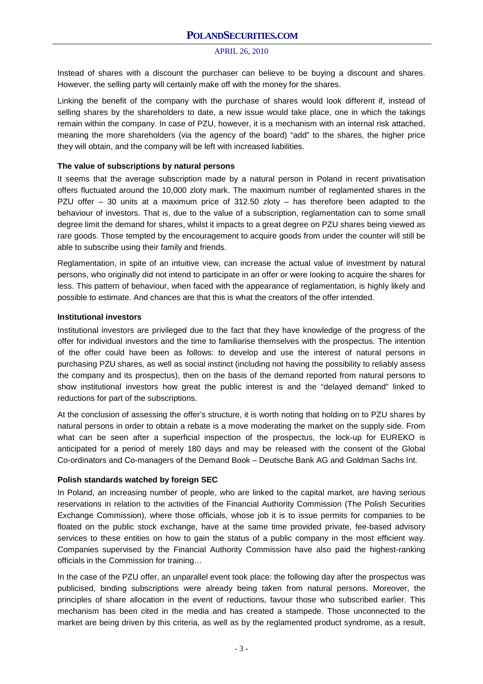Instead of shares with a discount the purchaser can believe to be buying a discount and shares. However, the selling party will certainly make off with the money for the shares.

Linking the benefit of the company with the purchase of shares would look different if, instead of selling shares by the shareholders to date, a new issue would take place, one in which the takings remain within the company. In case of PZU, however, it is a mechanism with an internal risk attached, meaning the more shareholders (via the agency of the board) "add" to the shares, the higher price they will obtain, and the company will be left with increased liabilities.

## **The value of subscriptions by natural persons**

It seems that the average subscription made by a natural person in Poland in recent privatisation offers fluctuated around the 10,000 zloty mark. The maximum number of reglamented shares in the PZU offer – 30 units at a maximum price of 312.50 zloty – has therefore been adapted to the behaviour of investors. That is, due to the value of a subscription, reglamentation can to some small degree limit the demand for shares, whilst it impacts to a great degree on PZU shares being viewed as rare goods. Those tempted by the encouragement to acquire goods from under the counter will still be able to subscribe using their family and friends.

Reglamentation, in spite of an intuitive view, can increase the actual value of investment by natural persons, who originally did not intend to participate in an offer or were looking to acquire the shares for less. This pattern of behaviour, when faced with the appearance of reglamentation, is highly likely and possible to estimate. And chances are that this is what the creators of the offer intended.

## **Institutional investors**

Institutional investors are privileged due to the fact that they have knowledge of the progress of the offer for individual investors and the time to familiarise themselves with the prospectus. The intention of the offer could have been as follows: to develop and use the interest of natural persons in purchasing PZU shares, as well as social instinct (including not having the possibility to reliably assess the company and its prospectus), then on the basis of the demand reported from natural persons to show institutional investors how great the public interest is and the "delayed demand" linked to reductions for part of the subscriptions.

At the conclusion of assessing the offer's structure, it is worth noting that holding on to PZU shares by natural persons in order to obtain a rebate is a move moderating the market on the supply side. From what can be seen after a superficial inspection of the prospectus, the lock-up for EUREKO is anticipated for a period of merely 180 days and may be released with the consent of the Global Co-ordinators and Co-managers of the Demand Book – Deutsche Bank AG and Goldman Sachs Int.

# **Polish standards watched by foreign SEC**

In Poland, an increasing number of people, who are linked to the capital market, are having serious reservations in relation to the activities of the Financial Authority Commission (The Polish Securities Exchange Commission), where those officials, whose job it is to issue permits for companies to be floated on the public stock exchange, have at the same time provided private, fee-based advisory services to these entities on how to gain the status of a public company in the most efficient way. Companies supervised by the Financial Authority Commission have also paid the highest-ranking officials in the Commission for training…

In the case of the PZU offer, an unparallel event took place: the following day after the prospectus was publicised, binding subscriptions were already being taken from natural persons. Moreover, the principles of share allocation in the event of reductions, favour those who subscribed earlier. This mechanism has been cited in the media and has created a stampede. Those unconnected to the market are being driven by this criteria, as well as by the reglamented product syndrome, as a result,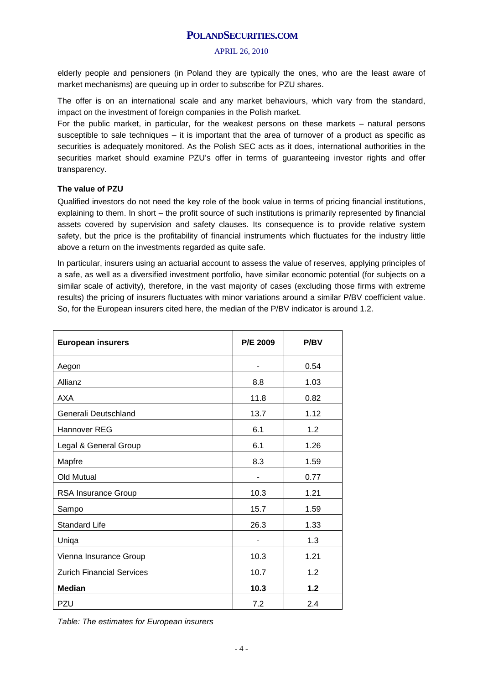elderly people and pensioners (in Poland they are typically the ones, who are the least aware of market mechanisms) are queuing up in order to subscribe for PZU shares.

The offer is on an international scale and any market behaviours, which vary from the standard, impact on the investment of foreign companies in the Polish market.

For the public market, in particular, for the weakest persons on these markets – natural persons susceptible to sale techniques – it is important that the area of turnover of a product as specific as securities is adequately monitored. As the Polish SEC acts as it does, international authorities in the securities market should examine PZU's offer in terms of guaranteeing investor rights and offer transparency.

#### **The value of PZU**

Qualified investors do not need the key role of the book value in terms of pricing financial institutions, explaining to them. In short – the profit source of such institutions is primarily represented by financial assets covered by supervision and safety clauses. Its consequence is to provide relative system safety, but the price is the profitability of financial instruments which fluctuates for the industry little above a return on the investments regarded as quite safe.

In particular, insurers using an actuarial account to assess the value of reserves, applying principles of a safe, as well as a diversified investment portfolio, have similar economic potential (for subjects on a similar scale of activity), therefore, in the vast majority of cases (excluding those firms with extreme results) the pricing of insurers fluctuates with minor variations around a similar P/BV coefficient value. So, for the European insurers cited here, the median of the P/BV indicator is around 1.2.

| <b>European insurers</b>         | <b>P/E 2009</b> | <b>P/BV</b> |
|----------------------------------|-----------------|-------------|
| Aegon                            |                 | 0.54        |
| Allianz                          | 8.8             | 1.03        |
| AXA                              | 11.8            | 0.82        |
| Generali Deutschland             | 13.7            | 1.12        |
| <b>Hannover REG</b>              | 6.1             | 1.2         |
| Legal & General Group            | 6.1             | 1.26        |
| Mapfre                           | 8.3             | 1.59        |
| Old Mutual                       |                 | 0.77        |
| RSA Insurance Group              | 10.3            | 1.21        |
| Sampo                            | 15.7            | 1.59        |
| <b>Standard Life</b>             | 26.3            | 1.33        |
| Uniqa                            |                 | 1.3         |
| Vienna Insurance Group           | 10.3            | 1.21        |
| <b>Zurich Financial Services</b> | 10.7            | 1.2         |
| <b>Median</b>                    | 10.3            | $1.2$       |
| PZU                              | 7.2             | 2.4         |

*Table: The estimates for European insurers*